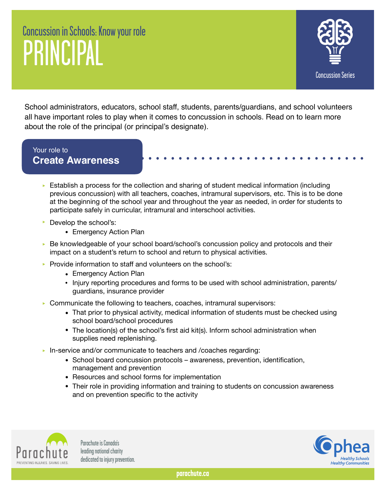## Concussion in Schools: Know your role PRINCIPAL



School administrators, educators, school staff, students, parents/guardians, and school volunteers all have important roles to play when it comes to concussion in schools. Read on to learn more about the role of the principal (or principal's designate).

## Your role to **Create Awareness**

- $\triangleright$  Establish a process for the collection and sharing of student medical information (including previous concussion) with all teachers, coaches, intramural supervisors, etc. This is to be done at the beginning of the school year and throughout the year as needed, in order for students to participate safely in curricular, intramural and interschool activities.
- ▶ Develop the school's:
	- Emergency Action Plan
- ► Be knowledgeable of your school board/school's concussion policy and protocols and their impact on a student's return to school and return to physical activities.
- ▶ Provide information to staff and volunteers on the school's:
	- Emergency Action Plan
	- Injury reporting procedures and forms to be used with school administration, parents/ guardians, insurance provider
- ‣ Communicate the following to teachers, coaches, intramural supervisors:
	- That prior to physical activity, medical information of students must be checked using school board/school procedures
	- The location(s) of the school's first aid kit(s). Inform school administration when supplies need replenishing.
- ‣ In-service and/or communicate to teachers and /coaches regarding:
	- School board concussion protocols awareness, prevention, identification, management and prevention
	- Resources and school forms for implementation
	- Their role in providing information and training to students on concussion awareness and on prevention specific to the activity



Parachute is Canada's leading national charity dedicated to injury prevention.